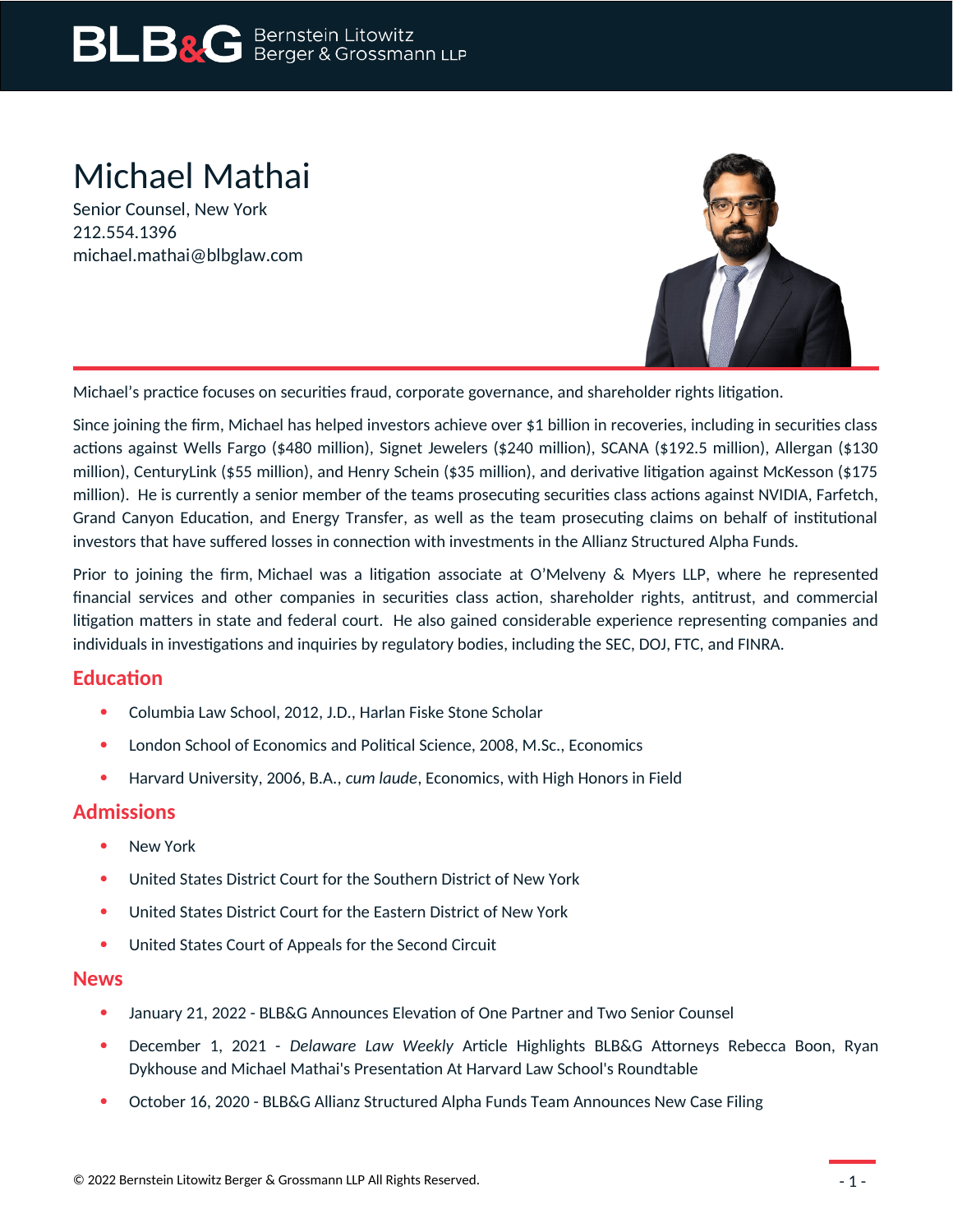# Michael Mathai

Senior Counsel, New York 212.554.1396 michael.mathai@blbglaw.com



Michael's practice focuses on securities fraud, corporate governance, and shareholder rights litigation.

Since joining the firm, Michael has helped investors achieve over \$1 billion in recoveries, including in securities class actions against Wells Fargo (\$480 million), Signet Jewelers (\$240 million), SCANA (\$192.5 million), Allergan (\$130 million), CenturyLink (\$55 million), and Henry Schein (\$35 million), and derivative litigation against McKesson (\$175 million). He is currently a senior member of the teams prosecuting securities class actions against NVIDIA, Farfetch, Grand Canyon Education, and Energy Transfer, as well as the team prosecuting claims on behalf of institutional investors that have suffered losses in connection with investments in the Allianz Structured Alpha Funds.

Prior to joining the firm, Michael was a litigation associate at O'Melveny & Myers LLP, where he represented financial services and other companies in securities class action, shareholder rights, antitrust, and commercial litigation matters in state and federal court. He also gained considerable experience representing companies and individuals in investigations and inquiries by regulatory bodies, including the SEC, DOJ, FTC, and FINRA.

## **Education**

- Columbia Law School, 2012, J.D., Harlan Fiske Stone Scholar
- London School of Economics and Political Science, 2008, M.Sc., Economics
- Harvard University, 2006, B.A., *cum laude*, Economics, with High Honors in Field

## **Admissions**

- New York
- United States District Court for the Southern District of New York
- United States District Court for the Eastern District of New York
- United States Court of Appeals for the Second Circuit

#### **News**

- January 21, 2022 BLB&G Announces Elevation of One Partner and Two Senior Counsel
- December 1, 2021 *Delaware Law Weekly* Article Highlights BLB&G Attorneys Rebecca Boon, Ryan Dykhouse and Michael Mathai's Presentation At Harvard Law School's Roundtable
- October 16, 2020 BLB&G Allianz Structured Alpha Funds Team Announces New Case Filing